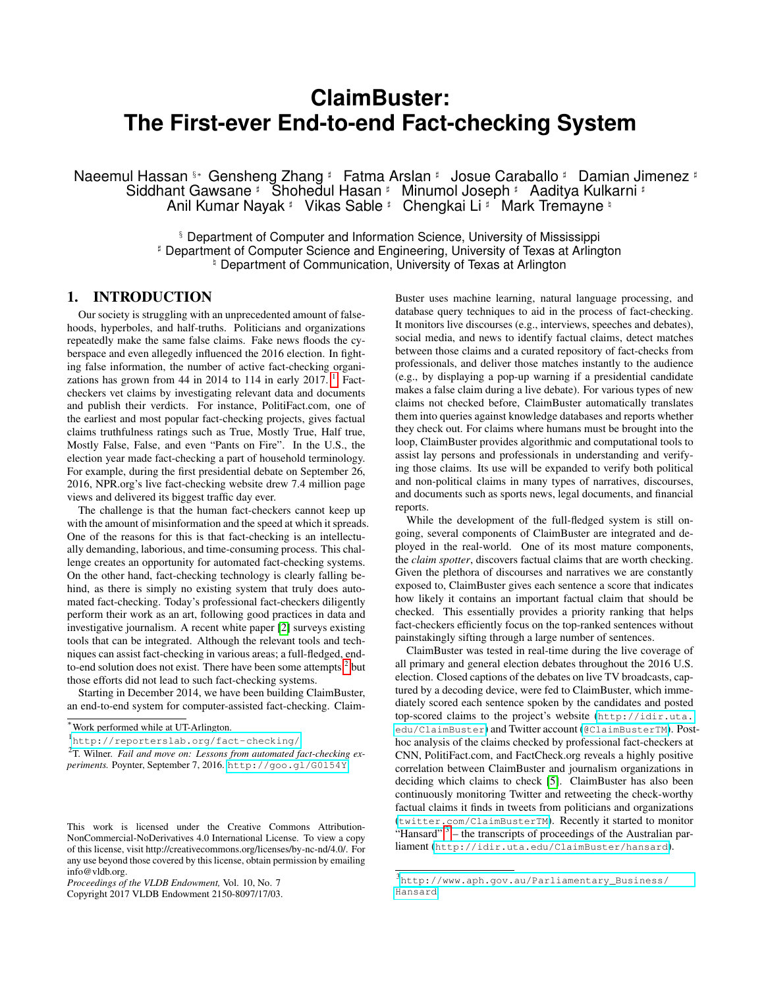# **ClaimBuster: The First-ever End-to-end Fact-checking System**

Naeemul Hassan §∗ Gensheng Zhang ‡ Fatma Arslan ‡ Josue Caraballo ‡ Damian Jimenez ‡ Siddhant Gawsane ] Shohedul Hasan ] Minumol Joseph ] Aaditya Kulkarni ] Anil Kumar Nayak # Vikas Sable # Chengkai Li # Mark Tremayne #

> § Department of Computer and Information Science, University of Mississippi ] Department of Computer Science and Engineering, University of Texas at Arlington <sup>#</sup> Department of Communication, University of Texas at Arlington

## <span id="page-0-3"></span>1. INTRODUCTION

Our society is struggling with an unprecedented amount of falsehoods, hyperboles, and half-truths. Politicians and organizations repeatedly make the same false claims. Fake news floods the cyberspace and even allegedly influenced the 2016 election. In fighting false information, the number of active fact-checking organi-zations has grown from 44 in 20[1](#page-0-0)4 to 114 in early 2017.  $^1$  Factcheckers vet claims by investigating relevant data and documents and publish their verdicts. For instance, PolitiFact.com, one of the earliest and most popular fact-checking projects, gives factual claims truthfulness ratings such as True, Mostly True, Half true, Mostly False, False, and even "Pants on Fire". In the U.S., the election year made fact-checking a part of household terminology. For example, during the first presidential debate on September 26, 2016, NPR.org's live fact-checking website drew 7.4 million page views and delivered its biggest traffic day ever.

The challenge is that the human fact-checkers cannot keep up with the amount of misinformation and the speed at which it spreads. One of the reasons for this is that fact-checking is an intellectually demanding, laborious, and time-consuming process. This challenge creates an opportunity for automated fact-checking systems. On the other hand, fact-checking technology is clearly falling behind, as there is simply no existing system that truly does automated fact-checking. Today's professional fact-checkers diligently perform their work as an art, following good practices in data and investigative journalism. A recent white paper [\[2\]](#page-3-0) surveys existing tools that can be integrated. Although the relevant tools and techniques can assist fact-checking in various areas; a full-fledged, endto-end solution does not exist. There have been some attempts, $2$  but those efforts did not lead to such fact-checking systems.

Starting in December 2014, we have been building ClaimBuster, an end-to-end system for computer-assisted fact-checking. Claim-

Copyright 2017 VLDB Endowment 2150-8097/17/03.

Buster uses machine learning, natural language processing, and database query techniques to aid in the process of fact-checking. It monitors live discourses (e.g., interviews, speeches and debates), social media, and news to identify factual claims, detect matches between those claims and a curated repository of fact-checks from professionals, and deliver those matches instantly to the audience (e.g., by displaying a pop-up warning if a presidential candidate makes a false claim during a live debate). For various types of new claims not checked before, ClaimBuster automatically translates them into queries against knowledge databases and reports whether they check out. For claims where humans must be brought into the loop, ClaimBuster provides algorithmic and computational tools to assist lay persons and professionals in understanding and verifying those claims. Its use will be expanded to verify both political and non-political claims in many types of narratives, discourses, and documents such as sports news, legal documents, and financial reports.

While the development of the full-fledged system is still ongoing, several components of ClaimBuster are integrated and deployed in the real-world. One of its most mature components, the *claim spotter*, discovers factual claims that are worth checking. Given the plethora of discourses and narratives we are constantly exposed to, ClaimBuster gives each sentence a score that indicates how likely it contains an important factual claim that should be checked. This essentially provides a priority ranking that helps fact-checkers efficiently focus on the top-ranked sentences without painstakingly sifting through a large number of sentences.

ClaimBuster was tested in real-time during the live coverage of all primary and general election debates throughout the 2016 U.S. election. Closed captions of the debates on live TV broadcasts, captured by a decoding device, were fed to ClaimBuster, which immediately scored each sentence spoken by the candidates and posted top-scored claims to the project's website ([http://idir.uta.](http://idir.uta.edu/ClaimBuster) [edu/ClaimBuster](http://idir.uta.edu/ClaimBuster)) and Twitter account (<@ClaimBusterTM>). Posthoc analysis of the claims checked by professional fact-checkers at CNN, PolitiFact.com, and FactCheck.org reveals a highly positive correlation between ClaimBuster and journalism organizations in deciding which claims to check [\[5\]](#page-3-1). ClaimBuster has also been continuously monitoring Twitter and retweeting the check-worthy factual claims it finds in tweets from politicians and organizations (<twitter.com/ClaimBusterTM>). Recently it started to monitor "Hansard"  $3$  – the transcripts of proceedings of the Australian parliament (<http://idir.uta.edu/ClaimBuster/hansard>).

<sup>∗</sup>Work performed while at UT-Arlington.

<span id="page-0-0"></span><sup>1</sup> <http://reporterslab.org/fact-checking/>

<span id="page-0-1"></span><sup>2</sup> T. Wilner. *Fail and move on: Lessons from automated fact-checking experiments.* Poynter, September 7, 2016. <http://goo.gl/G0l54Y>

This work is licensed under the Creative Commons Attribution-NonCommercial-NoDerivatives 4.0 International License. To view a copy of this license, visit http://creativecommons.org/licenses/by-nc-nd/4.0/. For any use beyond those covered by this license, obtain permission by emailing info@vldb.org.

*Proceedings of the VLDB Endowment,* Vol. 10, No. 7

<span id="page-0-2"></span><sup>3</sup> [http://www.aph.gov.au/Parliamentary\\_Business/](http://www.aph.gov.au/Parliamentary_Business/Hansard) [Hansard](http://www.aph.gov.au/Parliamentary_Business/Hansard)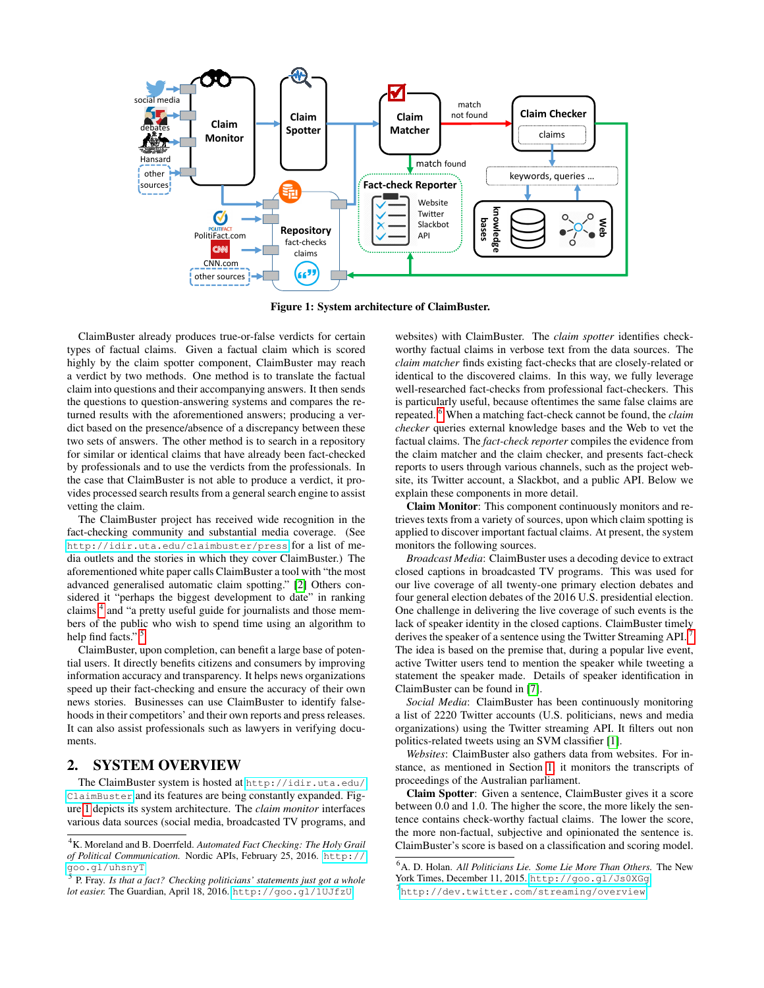

<span id="page-1-2"></span>Figure 1: System architecture of ClaimBuster.

ClaimBuster already produces true-or-false verdicts for certain types of factual claims. Given a factual claim which is scored highly by the claim spotter component, ClaimBuster may reach a verdict by two methods. One method is to translate the factual claim into questions and their accompanying answers. It then sends the questions to question-answering systems and compares the returned results with the aforementioned answers; producing a verdict based on the presence/absence of a discrepancy between these two sets of answers. The other method is to search in a repository for similar or identical claims that have already been fact-checked by professionals and to use the verdicts from the professionals. In the case that ClaimBuster is not able to produce a verdict, it provides processed search results from a general search engine to assist vetting the claim.

The ClaimBuster project has received wide recognition in the fact-checking community and substantial media coverage. (See <http://idir.uta.edu/claimbuster/press> for a list of media outlets and the stories in which they cover ClaimBuster.) The aforementioned white paper calls ClaimBuster a tool with "the most advanced generalised automatic claim spotting." [\[2\]](#page-3-0) Others considered it "perhaps the biggest development to date" in ranking claims<sup>[4](#page-1-0)</sup> and "a pretty useful guide for journalists and those members of the public who wish to spend time using an algorithm to help find facts."<sup>[5](#page-1-1)</sup>

ClaimBuster, upon completion, can benefit a large base of potential users. It directly benefits citizens and consumers by improving information accuracy and transparency. It helps news organizations speed up their fact-checking and ensure the accuracy of their own news stories. Businesses can use ClaimBuster to identify falsehoods in their competitors' and their own reports and press releases. It can also assist professionals such as lawyers in verifying documents.

### <span id="page-1-5"></span>2. SYSTEM OVERVIEW

The ClaimBuster system is hosted at [http://idir.uta.edu/](http://idir.uta.edu/ClaimBuster) [ClaimBuster](http://idir.uta.edu/ClaimBuster) and its features are being constantly expanded. Figure [1](#page-1-2) depicts its system architecture. The *claim monitor* interfaces various data sources (social media, broadcasted TV programs, and websites) with ClaimBuster. The *claim spotter* identifies checkworthy factual claims in verbose text from the data sources. The *claim matcher* finds existing fact-checks that are closely-related or identical to the discovered claims. In this way, we fully leverage well-researched fact-checks from professional fact-checkers. This is particularly useful, because oftentimes the same false claims are repeated. [6](#page-1-3) When a matching fact-check cannot be found, the *claim checker* queries external knowledge bases and the Web to vet the factual claims. The *fact-check reporter* compiles the evidence from the claim matcher and the claim checker, and presents fact-check reports to users through various channels, such as the project website, its Twitter account, a Slackbot, and a public API. Below we explain these components in more detail.

Claim Monitor: This component continuously monitors and retrieves texts from a variety of sources, upon which claim spotting is applied to discover important factual claims. At present, the system monitors the following sources.

*Broadcast Media*: ClaimBuster uses a decoding device to extract closed captions in broadcasted TV programs. This was used for our live coverage of all twenty-one primary election debates and four general election debates of the 2016 U.S. presidential election. One challenge in delivering the live coverage of such events is the lack of speaker identity in the closed captions. ClaimBuster timely derives the speaker of a sentence using the Twitter Streaming API. The idea is based on the premise that, during a popular live event, active Twitter users tend to mention the speaker while tweeting a statement the speaker made. Details of speaker identification in ClaimBuster can be found in [\[7\]](#page-3-2).

*Social Media*: ClaimBuster has been continuously monitoring a list of 2220 Twitter accounts (U.S. politicians, news and media organizations) using the Twitter streaming API. It filters out non politics-related tweets using an SVM classifier [\[1\]](#page-3-3).

*Websites*: ClaimBuster also gathers data from websites. For instance, as mentioned in Section [1,](#page-0-3) it monitors the transcripts of proceedings of the Australian parliament.

Claim Spotter: Given a sentence, ClaimBuster gives it a score between 0.0 and 1.0. The higher the score, the more likely the sentence contains check-worthy factual claims. The lower the score, the more non-factual, subjective and opinionated the sentence is. ClaimBuster's score is based on a classification and scoring model.

<span id="page-1-0"></span><sup>4</sup>K. Moreland and B. Doerrfeld. *Automated Fact Checking: The Holy Grail of Political Communication.* Nordic APIs, February 25, 2016. [http://](http://goo.gl/uhsnyT) [goo.gl/uhsnyT](http://goo.gl/uhsnyT)

<span id="page-1-1"></span><sup>5</sup> P. Fray. *Is that a fact? Checking politicians' statements just got a whole lot easier.* The Guardian, April 18, 2016. <http://goo.gl/1UJfzU>

<span id="page-1-4"></span><span id="page-1-3"></span><sup>6</sup>A. D. Holan. *All Politicians Lie. Some Lie More Than Others.* The New York Times, December 11, 2015. <http://goo.gl/Js0XGg> 7<br><http://dev.twitter.com/streaming/overview>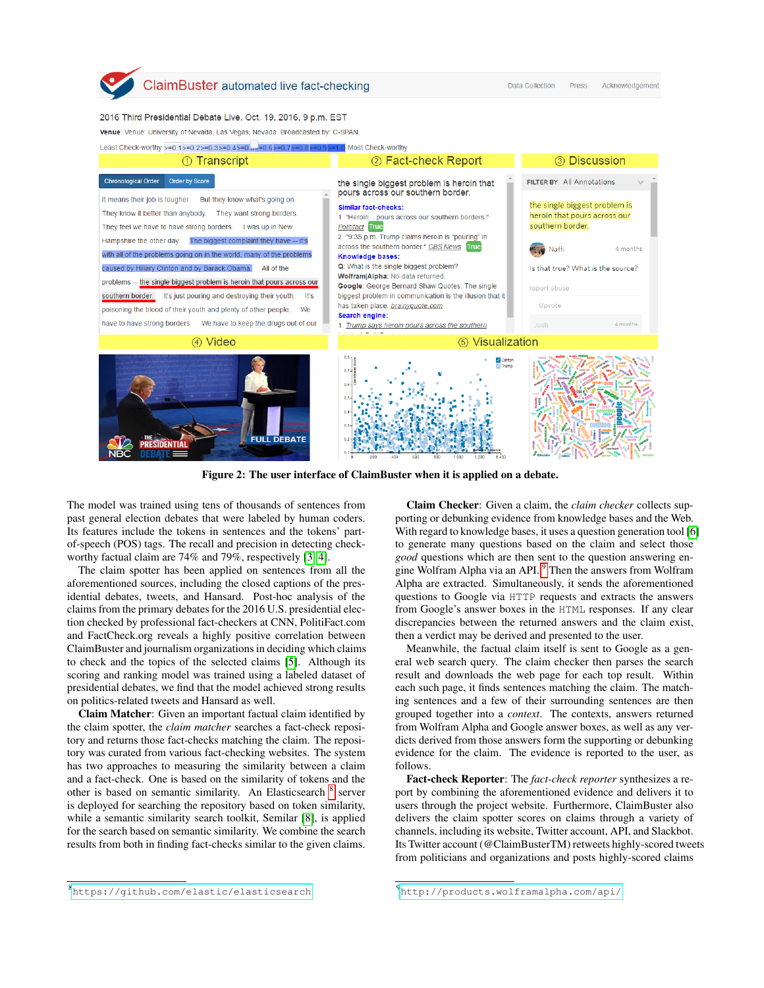

Data Collection Press Acknowledgement

#### 2016 Third Presidential Debate Live. Oct. 19, 2016, 9 p.m. EST

Venue: Venue: University of Nevada, Las Vegas, Nevada. Broadcasted by: C-SPAN.

Least Check-worthy >=0.1>=0.2>=0.3>=0.4>=0.9>=0.7>=0.8>=0.9>=1.0 Most Check-worthy



<span id="page-2-2"></span>Figure 2: The user interface of ClaimBuster when it is applied on a debate.

The model was trained using tens of thousands of sentences from past general election debates that were labeled by human coders. Its features include the tokens in sentences and the tokens' partof-speech (POS) tags. The recall and precision in detecting checkworthy factual claim are 74% and 79%, respectively [\[3,](#page-3-4) [4\]](#page-3-5).

The claim spotter has been applied on sentences from all the aforementioned sources, including the closed captions of the presidential debates, tweets, and Hansard. Post-hoc analysis of the claims from the primary debates for the 2016 U.S. presidential election checked by professional fact-checkers at CNN, PolitiFact.com and FactCheck.org reveals a highly positive correlation between ClaimBuster and journalism organizations in deciding which claims to check and the topics of the selected claims [\[5\]](#page-3-1). Although its scoring and ranking model was trained using a labeled dataset of presidential debates, we find that the model achieved strong results on politics-related tweets and Hansard as well.

Claim Matcher: Given an important factual claim identified by the claim spotter, the *claim matcher* searches a fact-check repository and returns those fact-checks matching the claim. The repository was curated from various fact-checking websites. The system has two approaches to measuring the similarity between a claim and a fact-check. One is based on the similarity of tokens and the other is based on semantic similarity. An Elasticsearch <sup>[8](#page-2-0)</sup> server is deployed for searching the repository based on token similarity, while a semantic similarity search toolkit, Semilar [\[8\]](#page-3-6), is applied for the search based on semantic similarity. We combine the search results from both in finding fact-checks similar to the given claims.

Claim Checker: Given a claim, the *claim checker* collects supporting or debunking evidence from knowledge bases and the Web. With regard to knowledge bases, it uses a question generation tool [\[6\]](#page-3-7) to generate many questions based on the claim and select those *good* questions which are then sent to the question answering en-gine Wolfram Alpha via an API.<sup>[9](#page-2-1)</sup> Then the answers from Wolfram Alpha are extracted. Simultaneously, it sends the aforementioned questions to Google via HTTP requests and extracts the answers from Google's answer boxes in the HTML responses. If any clear discrepancies between the returned answers and the claim exist, then a verdict may be derived and presented to the user.

Meanwhile, the factual claim itself is sent to Google as a general web search query. The claim checker then parses the search result and downloads the web page for each top result. Within each such page, it finds sentences matching the claim. The matching sentences and a few of their surrounding sentences are then grouped together into a *context*. The contexts, answers returned from Wolfram Alpha and Google answer boxes, as well as any verdicts derived from those answers form the supporting or debunking evidence for the claim. The evidence is reported to the user, as follows.

Fact-check Reporter: The *fact-check reporter* synthesizes a report by combining the aforementioned evidence and delivers it to users through the project website. Furthermore, ClaimBuster also delivers the claim spotter scores on claims through a variety of channels, including its website, Twitter account, API, and Slackbot. Its Twitter account (@ClaimBusterTM) retweets highly-scored tweets from politicians and organizations and posts highly-scored claims

<span id="page-2-0"></span><sup>8</sup> <https://github.com/elastic/elasticsearch>

<span id="page-2-1"></span><sup>9</sup> <http://products.wolframalpha.com/api/>